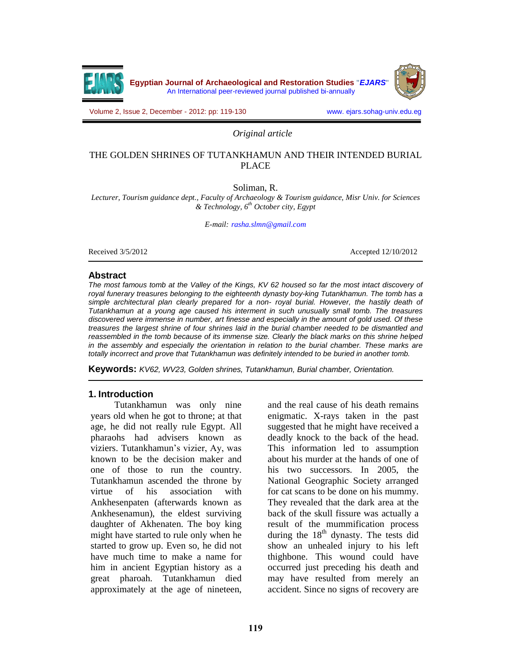

Volume 2, Issue 2, December - 2012: pp: 119-130 www. ejars.sohag-univ.edu.eg

*Original article*

## THE GOLDEN SHRINES OF TUTANKHAMUN AND THEIR INTENDED BURIAL PLACE

Soliman, R.

*Lecturer, Tourism guidance dept., Faculty of Archaeology & Tourism guidance, Misr Univ. for Sciences & Technology, 6 th October city, Egypt*

*E-mail: [rasha.slmn@gmail.com](mailto:rasha.slmn@gmail.com)*

Received  $3/5/2012$  Accepted 12/10/2012

### **Abstract**

The most famous tomb at the Valley of the Kings, KV 62 housed so far the most intact discovery of royal funerary treasures belonging to the eighteenth dynasty boy-king Tutankhamun. The tomb has a simple architectural plan clearly prepared for a non- royal burial. However, the hastily death of Tutankhamun at a young age caused his interment in such unusually small tomb. The treasures discovered were immense in number, art finesse and especially in the amount of gold used. Of these treasures the largest shrine of four shrines laid in the burial chamber needed to be dismantled and reassembled in the tomb because of its immense size. Clearly the black marks on this shrine helped in the assembly and especially the orientation in relation to the burial chamber. These marks are totally incorrect and prove that Tutankhamun was definitely intended to be buried in another tomb.

**Keywords:** KV62, WV23, Golden shrines, Tutankhamun, Burial chamber, Orientation.

## **1. Introduction**

Tutankhamun was only nine years old when he got to throne; at that age, he did not really rule Egypt. All pharaohs had advisers known as viziers. Tutankhamun's vizier, Ay, was known to be the decision maker and one of those to run the country. Tutankhamun ascended the throne by virtue of his association with Ankhesenpaten (afterwards known as Ankhesenamun), the eldest surviving daughter of Akhenaten. The boy king might have started to rule only when he started to grow up. Even so, he did not have much time to make a name for him in ancient Egyptian history as a great pharoah. Tutankhamun died approximately at the age of nineteen, and the real cause of his death remains enigmatic. X-rays taken in the past suggested that he might have received a deadly knock to the back of the head. This information led to assumption about his murder at the hands of one of his two successors. In 2005, the National Geographic Society arranged for cat scans to be done on his mummy. They revealed that the dark area at the back of the skull fissure was actually a result of the mummification process during the 18<sup>th</sup> dynasty. The tests did show an unhealed injury to his left thighbone. This wound could have occurred just preceding his death and may have resulted from merely an accident. Since no signs of recovery are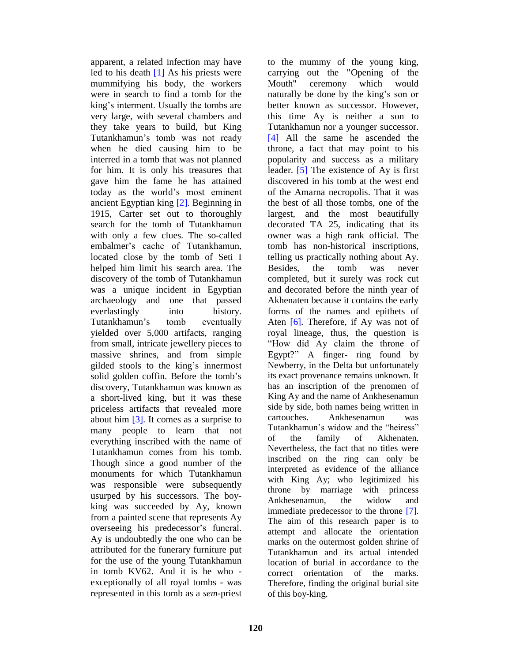apparent, a related infection may have led to his death [1] As his priests were mummifying his body, the workers were in search to find a tomb for the king's interment. Usually the tombs are very large, with several chambers and they take years to build, but King Tutankhamun's tomb was not ready when he died causing him to be interred in a tomb that was not planned for him. It is only his treasures that gave him the fame he has attained today as the world's most eminent ancient Egyptian king [2]. Beginning in 1915, Carter set out to thoroughly search for the tomb of Tutankhamun with only a few clues. The so-called embalmer's cache of Tutankhamun, located close by the tomb of Seti I helped him limit his search area. The discovery of the tomb of Tutankhamun was a unique incident in Egyptian archaeology and one that passed everlastingly into history. Tutankhamun's tomb eventually yielded over 5,000 artifacts, ranging from small, intricate jewellery pieces to massive shrines, and from simple gilded stools to the king's innermost solid golden coffin. Before the tomb's discovery, Tutankhamun was known as a short-lived king, but it was these priceless artifacts that revealed more side by side<br>about him [2] It comes as a summise to cartouches about him [3]. It comes as a surprise to many people to learn that not everything inscribed with the name of Tutankhamun comes from his tomb. Though since a good number of the monuments for which Tutankhamun was responsible were subsequently usurped by his successors. The boy king was succeeded by Ay, known from a painted scene that represents Ay overseeing his predecessor's funeral. Ay is undoubtedly the one who can be attributed for the funerary furniture put for the use of the young Tutankhamun in tomb KV62. And it is he who exceptionally of all royal tombs - was represented in this tomb as a *sem*-priest

to the mummy of the young king, carrying out the "Opening of the ceremony which would naturally be done by the king's son or better known as successor. However, this time Ay is neither a son to Tutankhamun nor a younger successor. [4] All the same he ascended the throne, a fact that may point to his popularity and success as a military leader. [5] The existence of Ay is first discovered in his tomb at the west end of the Amarna necropolis. That it was the best of all those tombs, one of the largest, and the most beautifully decorated TA 25, indicating that its owner was a high rank official. The tomb has non-historical inscriptions, telling us practically nothing about Ay. Besides, the tomb was never completed, but it surely was rock cut and decorated before the ninth year of Akhenaten because it contains the early forms of the names and epithets of Aten  $[6]$ . Therefore, if Ay was not of royal lineage, thus, the question is "How did Ay claim the throne of Egypt?" A finger- ring found by Newberry, in the Delta but unfortunately its exact provenance remains unknown. It has an inscription of the prenomen of King Ay and the name of Ankhesenamun side by side, both names being written in Ankhesenamun was Tutankhamun's widow and the "heiress" of the family of Akhenaten. Nevertheless, the fact that no titles were inscribed on the ring can only be interpreted as evidence of the alliance with King Ay; who legitimized his throne by marriage with princess Ankhesenamun, the widow and immediate predecessor to the throne [7]. The aim of this research paper is to attempt and allocate the orientation marks on the outermost golden shrine of Tutankhamun and its actual intended location of burial in accordance to the correct orientation of the marks. Therefore, finding the original burial site of this boy-king.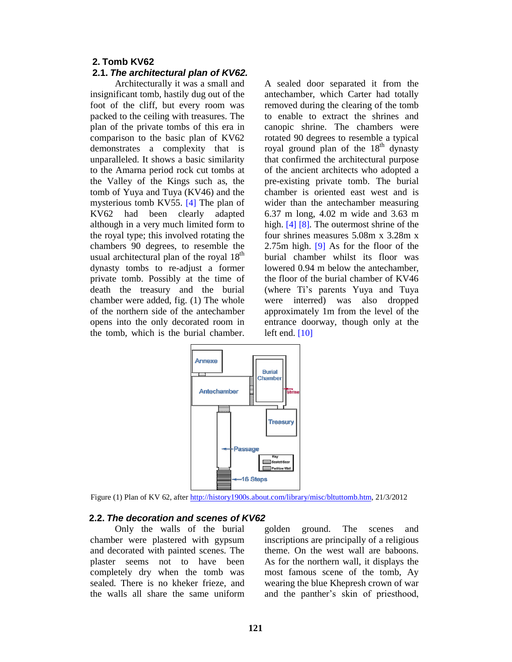### **2. Tomb KV62**

#### **2.1. The architectural plan of KV62.**

Architecturally it was a small and insignificant tomb, hastily dug out of the foot of the cliff, but every room was packed to the ceiling with treasures. The plan of the private tombs of this era in comparison to the basic plan of KV62 demonstrates a complexity that is unparalleled. It shows a basic similarity to the Amarna period rock cut tombs at the Valley of the Kings such as, the tomb of Yuya and Tuya (KV46) and the mysterious tomb KV55. [4] The plan of KV62 had been clearly adapted although in a very much limited form to the royal type; this involved rotating the chambers 90 degrees, to resemble the usual architectural plan of the royal  $18<sup>th</sup>$  bu dynasty tombs to re-adjust a former private tomb. Possibly at the time of death the treasury and the burial chamber were added, fig. (1) The whole of the northern side of the antechamber opens into the only decorated room in the tomb, which is the burial chamber.

A sealed door separated it from the antechamber, which Carter had totally removed during the clearing of the tomb to enable to extract the shrines and canopic shrine. The chambers were rotated 90 degrees to resemble a typical royal ground plan of the 18<sup>th</sup> dynasty that confirmed the architectural purpose of the ancient architects who adopted a pre-existing private tomb. The burial chamber is oriented east west and is wider than the antechamber measuring 6.37 m long, 4.02 m wide and 3.63 m high. [4] [8]. The outermost shrine of the four shrines measures 5.08m x 3.28m x 2.75m high. [9] As for the floor of the burial chamber whilst its floor was lowered 0.94 m below the antechamber the floor of the burial chamber of KV46 (where Ti's parents Yuya and Tuya were interred) was also dropped approximately 1m from the level of the entrance doorway, though only at the left end.  $[10]$ 



Figure (1) Plan of KV 62, after [http://history1900s.about.com/library/misc/bltuttomb.htm,](http://history1900s.about.com/library/misc/bltuttomb.htm) 21/3/2012

#### **2.2. The decoration and scenes of KV62**

Only the walls of the burial golden chamber were plastered with gypsum and decorated with painted scenes. The plaster seems not to have been completely dry when the tomb was sealed. There is no kheker frieze, and the walls all share the same uniform

ground. The scenes and inscriptions are principally of a religious theme. On the west wall are baboons. As for the northern wall, it displays the most famous scene of the tomb, Ay wearing the blue Khepresh crown of war and the panther's skin of priesthood,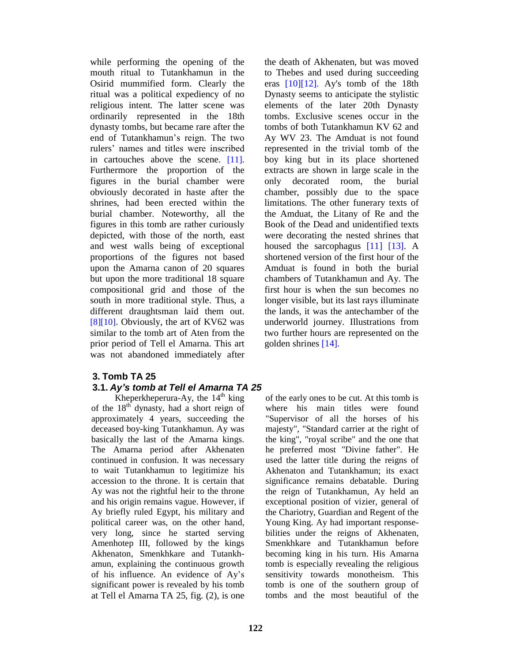while performing the opening of the mouth ritual to Tutankhamun in the Osirid mummified form. Clearly the ritual was a political expediency of no religious intent. The latter scene was ordinarily represented in the 18th dynasty tombs, but became rare after the end of Tutankhamun's reign. The two rulers' names and titles were inscribed in cartouches above the scene. [11]. Furthermore the proportion of the figures in the burial chamber were obviously decorated in haste after the shrines, had been erected within the burial chamber. Noteworthy, all the figures in this tomb are rather curiously depicted, with those of the north, east and west walls being of exceptional proportions of the figures not based upon the Amarna canon of 20 squares but upon the more traditional 18 square compositional grid and those of the south in more traditional style. Thus, a different draughtsman laid them out.  $[8][10]$ . Obviously, the art of KV62 was similar to the tomb art of Aten from the prior period of Tell el Amarna. This art was not abandoned immediately after

### **3. Tomb TA 25 3.1. Ay***í***s tomb at Tell el Amarna TA 25**

Kheperkheperura-Ay, the  $14<sup>th</sup>$  king of t of the  $18^{th}$  dynasty, had a short reign of approximately 4 years, succeeding the deceased boy-king Tutankhamun. Ay was basically the last of the Amarna kings. The Amarna period after Akhenaten continued in confusion. It was necessary to wait Tutankhamun to legitimize his accession to the throne. It is certain that Ay was not the rightful heir to the throne and his origin remains vague. However, if Ay briefly ruled Egypt, his military and political career was, on the other hand, very long, since he started serving Amenhotep III, followed by the kings Akhenaton, Smenkhkare and Tutankh amun, explaining the continuous growth of his influence. An evidence of Ay's significant power is revealed by his tomb at Tell el Amarna TA 25, fig. (2), is one

the death of Akhenaten, but was moved to Thebes and used during succeeding eras [10][12]. Ay's tomb of the 18th Dynasty seems to anticipate the stylistic elements of the later 20th Dynasty tombs. Exclusive scenes occur in the tombs of both Tutankhamun KV 62 and Ay WV 23. The Amduat is not found represented in the trivial tomb of the boy king but in its place shortened extracts are shown in large scale in the decorated room, the burial chamber, possibly due to the space limitations. The other funerary texts of the Amduat, the Litany of Re and the Book of the Dead and unidentified texts were decorating the nested shrines that housed the sarcophagus [11] [13]. A shortened version of the first hour of the Amduat is found in both the burial chambers of Tutankhamun and Ay. The first hour is when the sun becomes no longer visible, but its last rays illuminate the lands, it was the antechamber of the underworld journey. Illustrations from two further hours are represented on the golden shrines [14].

of the early ones to be cut. At this tomb is where his main titles were found "Supervisor of all the horses of his majesty", "Standard carrier at the right of the king", "royal scribe" and the one that he preferred most "Divine father". He used the latter title during the reigns of Akhenaton and Tutankhamun; its exact significance remains debatable. During the reign of Tutankhamun, Ay held an exceptional position of vizier, general of the Chariotry, Guardian and Regent of the Young King. Ay had important response bilities under the reigns of Akhenaten, Smenkhkare and Tutankhamun before becoming king in his turn. His Amarna tomb is especially revealing the religious sensitivity towards monotheism. This tomb is one of the southern group of tombs and the most beautiful of the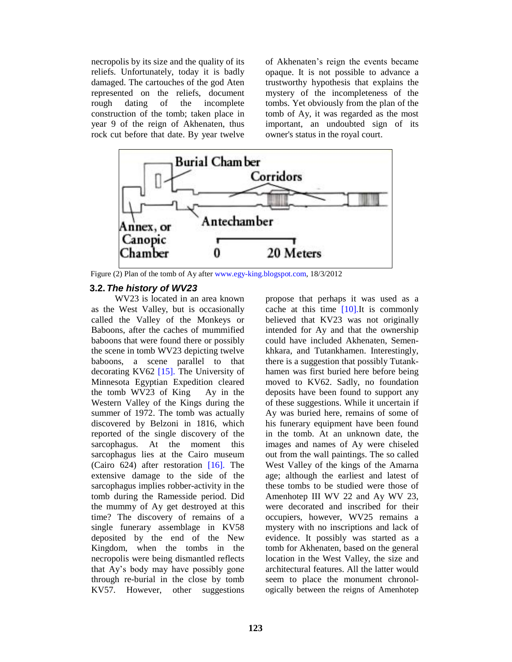necropolis by its size and the quality of its reliefs. Unfortunately, today it is badly damaged. The cartouches of the god Aten represented on the reliefs, document<br>rough dating of the incomplete rough dating of the incomplete construction of the tomb; taken place in year 9 of the reign of Akhenaten, thus rock cut before that date. By year twelve

of Akhenaten's reign the events became opaque. It is not possible to advance a trustworthy hypothesis that explains the mystery of the incompleteness of the tombs. Yet obviously from the plan of the tomb of Ay, it was regarded as the most important, an undoubted sign of its owner's status in the royal court.



Figure (2) Plan of the tomb of Ay after [www.egy-king.blogspot.com,](http://www.egy-king.blogspot.com,) 18/3/2012

### **3.2. The history of WV23**

WV23 is located in an area known as the West Valley, but is occasionally called the Valley of the Monkeys or Baboons, after the caches of mummified baboons that were found there or possibly the scene in tomb WV23 depicting twelve baboons, a scene parallel to that decorating KV62 [15]. The University of Minnesota Egyptian Expedition cleared the tomb WV23 of King Ay in the Western Valley of the Kings during the summer of 1972. The tomb was actually discovered by Belzoni in 1816, which reported of the single discovery of the sarcophagus. At the moment this sarcophagus lies at the Cairo museum (Cairo 624) after restoration [16]. The extensive damage to the side of the sarcophagus implies robber-activity in the tomb during the Ramesside period. Did the mummy of Ay get destroyed at this time? The discovery of remains of a single funerary assemblage in KV58 deposited by the end of the New Kingdom, when the tombs in the necropolis were being dismantled reflects that Ay's body may have possibly gone through re-burial in the close by tomb KV57. However, other suggestions

propose that perhaps it was used as a cache at this time [10].It is commonly believed that KV23 was not originally intended for Ay and that the ownership could have included Akhenaten, Semen khkara, and Tutankhamen. Interestingly, there is a suggestion that possibly Tutank hamen was first buried here before being moved to KV62. Sadly, no foundation deposits have been found to support any of these suggestions. While it uncertain if Ay was buried here, remains of some of his funerary equipment have been found in the tomb. At an unknown date, the images and names of Ay were chiseled out from the wall paintings. The so called West Valley of the kings of the Amarna age; although the earliest and latest of these tombs to be studied were those of Amenhotep III WV 22 and Ay WV 23, were decorated and inscribed for their occupiers, however, WV25 remains a mystery with no inscriptions and lack of evidence. It possibly was started as a tomb for Akhenaten, based on the general location in the West Valley, the size and architectural features. All the latter would seem to place the monument chronol ogically between the reigns of Amenhotep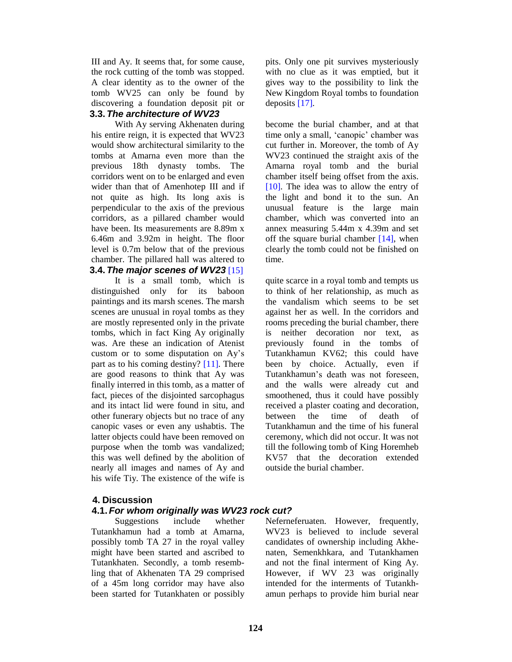III and Ay.It seems that, for some cause, the rock cutting of the tomb was stopped. A clear identity as to the owner of the tomb WV25 can only be found by discovering a foundation deposit pit or **3.3. The architecture of WV23**

With Ay serving Akhenaten during his entire reign, it is expected that WV23 would show architectural similarity to the tombs at Amarna even more than the previous 18th dynasty tombs. The corridors went on to be enlarged and even wider than that of Amenhotep III and if not quite as high. Its long axis is perpendicular to the axis of the previous corridors, as a pillared chamber would have been. Its measurements are 8.89m x 6.46m and3.92m in height. The floor level is 0.7m below that of the previous chamber. The pillared hall was altered to **3.4. The major scenes of WV23** [15]

It is a small tomb, which is distinguished only for its baboon paintings and its marsh scenes. The marsh scenes are unusual in royal tombs as they are mostly represented only in the private tombs, which in fact King Ay originally was. Are these an indication of Atenist custom or to some disputation on Ay's part as to his coming destiny?  $[11]$ . There are good reasons to think that Ay was finally interred in this tomb, as a matter of fact, pieces of the disjointed sarcophagus and its intact lid were found in situ, and other funerary objects but no trace of any canopic vases or even any ushabtis. The latter objects could have been removed on purpose when the tomb was vandalized; this was well defined by the abolition of nearly all images and names of Ay and his wife Tiy. The existence of the wife is

# **4. Discussion**

## **4.1. For whom originally was WV23 rock cut?**

Suggestions include whether Tutankhamun had a tomb at Amarna, possibly tomb TA 27 in the royal valley might have been started and ascribed to Tutankhaten. Secondly, a tomb resembling that of Akhenaten TA 29 comprised of a 45m long corridor may have also been started for Tutankhaten or possibly pits. Only one pit survives mysteriously with no clue as it was emptied, but it gives way to the possibility to link the New Kingdom Royal tombs to foundation deposits [17].

become the burial chamber, and at that time only a small, 'canopic' chamber was cut further in. Moreover, the tomb of Ay WV23 continued the straight axis of the Amarna royal tomb and the burial chamber itself being offset from the axis. [10]. The idea was to allow the entry of the light and bond it to the sun. An unusual feature is the large main chamber, which was converted into an annex measuring 5.44m x 4.39m and set off the square burial chamber  $[14]$ , when clearly the tomb could not be finished on time.

quite scarce in a royal tomb and tempts us to think of her relationship, as much as the vandalism which seems to be set against her as well. In the corridors and rooms preceding the burial chamber, there is neither decoration nor text, as previously found in the tombs of Tutankhamun KV62; this could have been by choice. Actually, even if Tutankhamun's death was not foreseen. and the walls were already cut and smoothened, thus it could have possibly received a plaster coating and decoration, between the time of death of Tutankhamun and the time of his funeral ceremony, which did not occur. It was not till the following tomb of King Horemheb KV57 that the decoration extended outside the burial chamber.

Neferneferuaten. However, frequently, WV23 is believed to include several candidates of ownership including Akhe naten, Semenkhkara, and Tutankhamen and not the final interment of King Ay.<br>However, if WV 23 was originally intended for the interments of Tutankh amun perhaps to provide him burial near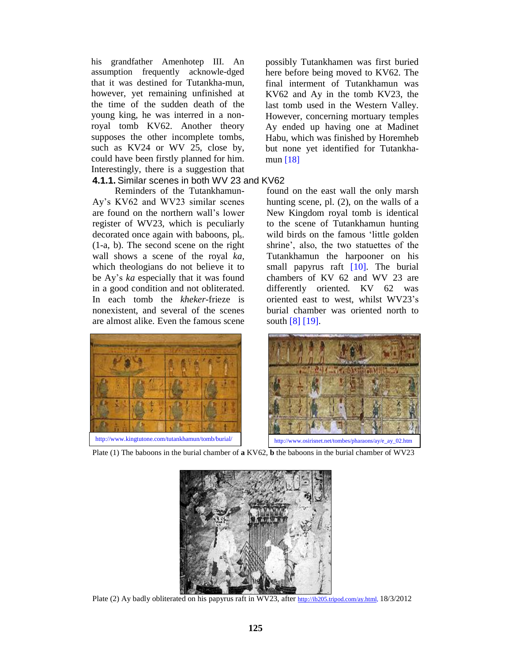his grandfather Amenhotep III. An assumption frequently acknowle-dged that it was destined for Tutankha-mun, however, yet remaining unfinished at the time of the sudden death of the young king, he was interred in a nonroyal tomb KV62. Another theory supposes the other incomplete tombs, such as KV24 or WV 25, close by, could have been firstly planned for him. Interestingly, there is a suggestion that **4.1.1.** Similar scenes in both WV 23 and KV62

Reminders of the Tutankhamun- Ayís KV62 and WV23 similar scenes are found on the northern wall's lower register of WV23, which is peculiarly decorated once again with baboons, pl<sub>s</sub>. (1-a, b). The second scene on the right wall shows a scene of the royal *ka,* which theologians do not believe it to be Ay's *ka* especially that it was found in a good condition and not obliterated. In each tomb the *kheker*-frieze is nonexistent, and several of the scenes are almost alike. Even the famous scene

possibly Tutankhamen was first buried here before being moved to KV62. The final interment of Tutankhamun was KV62 and Ay in the tomb KV23, the last tomb used in the Western Valley. However, concerning mortuary temples Ay ended up having one at Madinet Habu, which was finished by Horemheb but none yet identified for Tutankha mun [18]

found on the east wall the only marsh hunting scene, pl. (2), on the walls of a New Kingdom royal tomb is identical to the scene of Tutankhamun hunting wild birds on the famous 'little golden shrine', also, the two statuettes of the Tutankhamun the harpooner on his small papyrus raft [10]. The burial chambers of KV 62 and WV 23 are differently oriented. KV 62 was oriented east to west, whilst WV23's burial chamber was oriented north to south [8] [19].





Plate (1) The baboons in the burial chamber of **a** KV62, **b** the baboons in the burial chamber of WV23



Plate (2) Ay badly obliterated on his papyrus raft in WV23, after [http://ib205.tripod.com/ay.html,](http://ib205.tripod.com/ay.html) 18/3/2012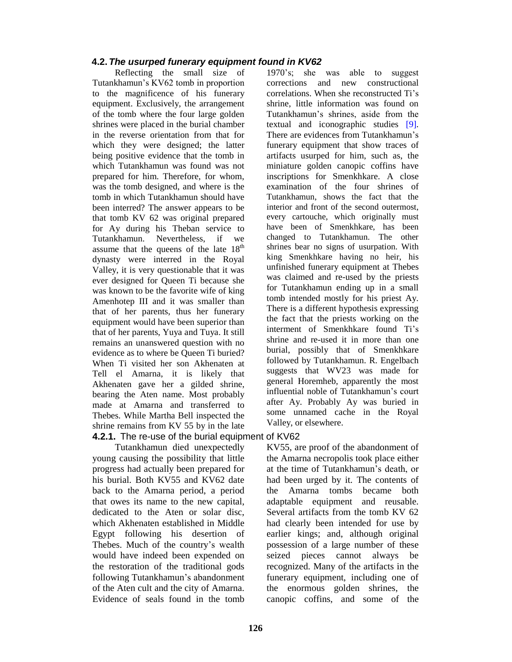# **4.2. The usurped funerary equipment found in KV62**

Reflecting the small size of Tutankhamun's KV62 tomb in proportion to the magnificence of his funerary equipment. Exclusively, the arrangement of the tomb where the four large golden shrines were placed in the burial chamber in the reverse orientation from that for which they were designed; the latter being positive evidence that the tomb in which Tutankhamun was found was not prepared for him. Therefore, for whom, was the tomb designed, and where is the tomb in which Tutankhamun should have been interred? The answer appears to be that tomb KV 62 was original prepared for Ay during his Theban service to Tutankhamun. Nevertheless, if we assume that the queens of the late  $18<sup>th</sup>$  sh dynasty were interred in the Royal Valley, it is very questionable that it was ever designed for Queen Ti because she was known to be the favorite wife of king Amenhotep III and it was smaller than that of her parents, thus her funerary equipment would have been superior than that of her parents, Yuya and Tuya. It still remains an unanswered question with no evidence as to where be Queen Ti buried? When Ti visited her son Akhenaten at Tell el Amarna, it is likely that Akhenaten gave her a gilded shrine, bearing the Aten name. Most probably made at Amarna and transferred to Thebes. While Martha Bell inspected the shrine remains from KV 55 by in the late

Tutankhamun died unexpectedly young causing the possibility that little progress had actually been prepared for his burial. Both KV55 and KV62 date back to the Amarna period, a period that owes its name to the new capital, dedicated to the Aten or solar disc, which Akhenaten established in Middle Egypt following his desertion of Thebes. Much of the country's wealth would have indeed been expended on the restoration of the traditional gods following Tutankhamun's abandonment of the Aten cult and the city of Amarna. Evidence of seals found in the tomb 1970ís; she was able to suggest corrections and new constructional correlations. When she reconstructed Ti's shrine, little information was found on Tutankhamun's shrines, aside from the textual and iconographic studies [9]. There are evidences from Tutankhamun's funerary equipment that show traces of artifacts usurped for him, such as, the miniature golden canopic coffins have inscriptions for Smenkhkare. A close examination of the four shrines of Tutankhamun, shows the fact that the interior and front of the second outermost, every cartouche, which originally must have been of Smenkhkare, has been changed to Tutankhamun. The other shrines bear no signs of usurpation. With king Smenkhkare having no heir, his unfinished funerary equipment at Thebes was claimed and re-used by the priests for Tutankhamun ending up in a small tomb intended mostly for his priest Ay. There is a different hypothesis expressing the fact that the priests working on the interment of Smenkhkare found Ti's shrine and re-used it in more than one burial, possibly that of Smenkhkare followed by Tutankhamun. R. Engelbach suggests that WV23 was made for general Horemheb, apparently the most influential noble of Tutankhamun's court after Ay. Probably Ay was buried in some unnamed cache in the Royal Valley, or elsewhere.

**4.2.1.** The re-use of the burial equipment of KV62

KV55, are proof of the abandonment of the Amarna necropolis took place either at the time of Tutankhamun's death, or had been urged by it. The contents of the Amarna tombs became both adaptable equipment and reusable. Several artifacts from the tomb KV 62 had clearly been intended for use by earlier kings; and, although original possession of a large number of these seized pieces cannot always be recognized. Many of the artifacts in the funerary equipment, including one of the enormous golden shrines, the canopic coffins, and some of the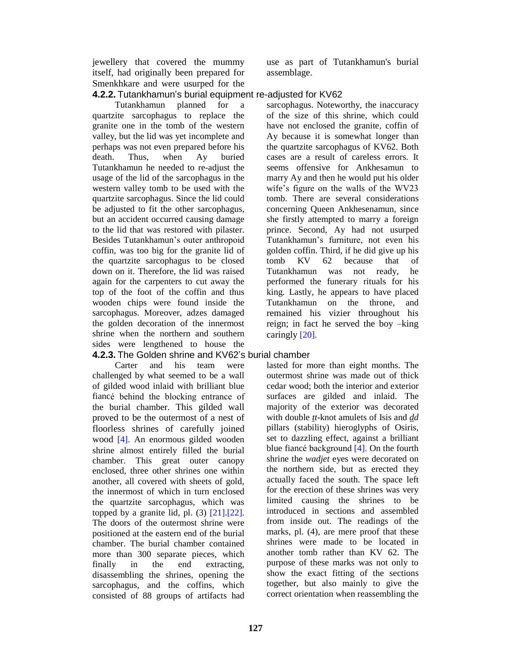jewellery that covered the mummy itself, had originally been prepared for Smenkhkare and were usurped for the use as part of Tutankhamun's burial assemblage.

### **4.2.2.** Tutankhamunís burial equipment re-adjusted for KV62

Tutankhamun planned for a quartzite sarcophagus to replace the granite one in the tomb of the western valley, but the lid was yet incomplete and perhaps was not even prepared before his death. Thus, when Ay buried Tutankhamun he needed to re-adjust the usage of the lid of the sarcophagus in the western valley tomb to be used with the quartzite sarcophagus. Since the lid could be adjusted to fit the other sarcophagus, but an accident occurred causing damage to the lid that was restored with pilaster. Besides Tutankhamun's outer anthropoid coffin, was too big for the granite lid of the quartzite sarcophagus to be closed down on it. Therefore, the lid was raised Tutankhamun again for the carpenters to cutaway the top of the foot of the coffin and thus wooden chips were found inside the sarcophagus. Moreover, adzes damaged the golden decoration of the innermost shrine when the northern and southern sides were lengthened to house the

Carter and his team were challenged by what seemed to be a wall of gilded wood inlaid with brilliant blue fiancÈ behind the blocking entrance of the burial chamber. This gilded wall proved to be the outermost of a nest of floorless shrines of carefully joined wood [4]. An enormous gilded wooden shrine almost entirely filled the burial chamber. This great outer canopy enclosed, three other shrines one within another, all covered with sheets of gold, the innermost of which in turn enclosed the quartzite sarcophagus, which was topped by a granite lid, pl.  $(3)$   $[21]$ .  $[22]$ . The doors of the outermost shrine were positioned at the eastern end of the burial chamber. The burial chamber contained more than 300 separate pieces, which finally in the end extracting, disassembling the shrines, opening the sarcophagus, and the coffins, which consisted of 88 groups of artifacts had sarcophagus. Noteworthy, the inaccuracy of the size of this shrine, which could have not enclosed the granite, coffin of Ay because it is somewhat longer than the quartzite sarcophagus of KV62. Both cases are a result of careless errors. It seems offensive for Ankhesamun to marry Ay and then he would put his older wife's figure on the walls of the WV23 tomb. There are several considerations concerning Queen Ankhesenamun, since she firstly attempted to marry a foreign prince. Second, Ay had not usurped Tutankhamun's furniture, not even his golden coffin. Third, if he did give up his tomb KV 62 because that of was not ready, he performed the funerary rituals for his king. Lastly, he appears to have placed Tutankhamun on the throne, and remained his vizier throughout his reign; in fact he served the boy  $-\text{king}$ caringly [20].

# **4.2.3.** The Golden shrine and KV62ís burial chamber

lasted for more than eight months. The outermost shrine was made out of thick cedar wood; both the interior and exterior surfaces are gilded and inlaid. The majority of the exterior was decorated with double *tt*-knot amulets of Isis and *dd* pillars (stability) hieroglyphs of Osiris, set to dazzling effect, against a brilliant blue fiancé background  $[4]$ . On the fourth shrine the *wadjet* eyes were decorated on the northern side, but as erected they actually faced the south. The space left for the erection of these shrines was very limited causing the shrines to be introduced in sections and assembled from inside out. The readings of the marks, pl. (4), are mere proof that these shrines were made to be located in another tomb rather than KV 62. The purpose of these marks was not only to show the exact fitting of the sections together, but also mainly to give the correct orientation when reassembling the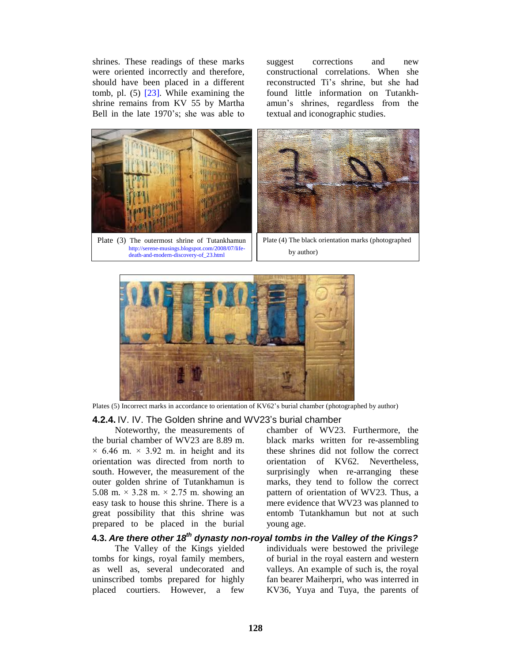shrines. These readings of these marks suggest were oriented incorrectly and therefore, should have been placed in a different tomb, pl. (5) [23]. While examining the shrine remains from KV 55 by Martha Bell in the late 1970's; she was able to

corrections and new constructional correlations. When she reconstructed Ti's shrine, but she had found little information on Tutankh amun's shrines, regardless from the textual and iconographic studies.



Plate (3) The outermost shrine of Tutankhamun [http://serene-musings.blogspot.com/2008/07/life](http://serene-musings.blogspot.com/2008/07/life-) death-and-modern-discovery-of\_23.html



Plate (4) The black orientation marks (photographed by author)



Plates (5) Incorrect marks in accordance to orientation of KV62's burial chamber (photographed by author)

### **4.2.4.** IV. IV. The Golden shrine and WV23's burial chamber

Noteworthy, the measurements of the burial chamber of WV23 are 8.89 m.  $\times$  6.46 m.  $\times$  3.92 m. in height and its orientation was directed from north to south. However, the measurement of the outer golden shrine of Tutankhamun is 5.08 m.  $\times$  3.28 m.  $\times$  2.75 m. showing an easy task to house this shrine. There is a great possibility that this shrine was prepared to be placed in the burial chamber of WV23. Furthermore, the black marks written for re-assembling these shrines did not follow the correct orientation of KV62. Nevertheless, surprisingly when re-arranging these marks, they tend to follow the correct pattern of orientation of WV23. Thus, a mere evidence that WV23 was planned to entomb Tutankhamun but not at such young age.

# **4.3. Are there other 18 th dynasty non-royal tombs in the Valley of the Kings?**

The Valley of the Kings yielded tombs for kings, royal family members, as well as, several undecorated and uninscribed tombs prepared for highly placed courtiers. However, a few individuals were bestowed the privilege of burial in the royal eastern and western valleys. An example of such is, the royal fan bearer Maiherpri, who was interred in KV36, Yuya and Tuya, the parents of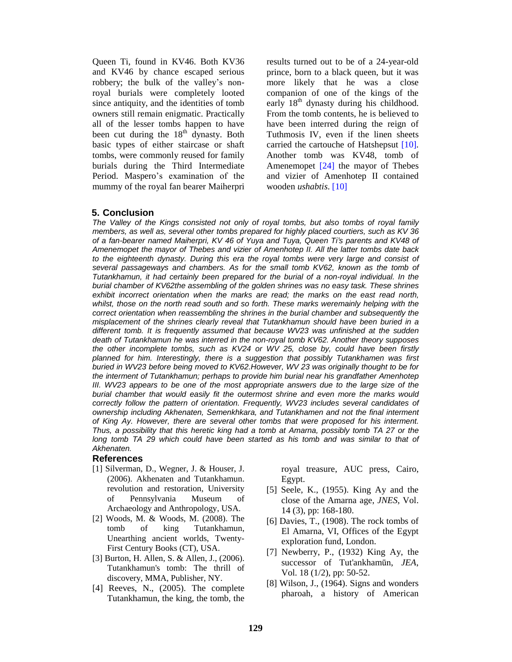Queen Ti, found in KV46. Both KV36 and KV46 by chance escaped serious robbery; the bulk of the valley's nonroyal burials were completely looted since antiquity, and the identities of tomb owners still remain enigmatic. Practically all of the lesser tombs happen to have been cut during the  $18<sup>th</sup>$  dynasty. Both Tut basic types of either staircase or shaft tombs, were commonly reused for family burials during the Third Intermediate Period. Maspero's examination of the mummy of the royal fan bearer Maiherpri

results turned out to be of a 24-year-old prince, born to a black queen, but it was more likely that he was a close companion of one of the kings of the early 18<sup>th</sup> dynasty during his childhood. From the tomb contents, he is believed to have been interred during the reign of Tuthmosis IV, even if the linen sheets carried the cartouche of Hatshepsut [10]. Another tomb was KV48, tomb of Amenemopet [24] the mayor of Thebes and vizier of Amenhotep II contained wooden *ushabtis*. [10]

### **5. Conclusion**

The Valley of the Kings consisted not only of royal tombs, but also tombs of royal family members, as well as, several other tombs prepared for highly placed courtiers, such as KV 36 of a fan-bearer named Maiherpri, KV 46 of Yuya and Tuya, Queen Ti*í*s parents and KV48 of Amenemopet the mayor of Thebes and vizier of Amenhotep II. All the latter tombs date back to the eighteenth dynasty. During this era the royal tombs were very large and consist of several passageways and chambers. As for the small tomb KV62, known as the tomb of Tutankhamun, it had certainly been prepared for the burial of a non-royal individual. In the burial chamber of KV62the assembling of the golden shrines was no easy task. These shrines exhibit incorrect orientation when the marks are read; the marks on the east read north, whilst, those on the north read south and so forth. These marks weremainly helping with the correct orientation when reassembling the shrines in the burial chamber and subsequently the misplacement of the shrines clearly reveal that Tutankhamun should have been buried in a different tomb. It is frequently assumed that because WV23 was unfinished at the sudden death of Tutankhamun he was interred in the non-royal tomb KV62. Another theory supposes the other incomplete tombs, such as KV24 or WV 25, close by, could have been firstly planned for him. Interestingly, there is a suggestion that possibly Tutankhamen was first buried in WV23 before being moved to KV62.However, WV 23 was originally thought to be for the interment of Tutankhamun; perhaps to provide him burial near his grandfather Amenhotep III. WV23 appears to be one of the most appropriate answers due to the large size of the burial chamber that would easily fit the outermost shrine and even more the marks would correctly follow the pattern of orientation. Frequently, WV23 includes several candidates of ownership including Akhenaten, Semenkhkara, and Tutankhamen and not the final interment of King Ay. However, there are several other tombs that were proposed forhis interment. Thus, a possibility that this heretic king had a tomb at Amarna, possibly tomb TA 27 or the long tomb TA 29 which could have been started as his tomb and was similar to that of Akhenaten.

### **References**

- [1] Silverman, D., Wegner, J. & Houser, J. (2006). Akhenaten and Tutankhamun. revolution and restoration, University of Pennsylvania Museum of Archaeology and Anthropology, USA.
- [2] Woods, M. & Woods, M. (2008). The tomb of king Tutankhamun, Unearthing ancient worlds, Twenty- First Century Books (CT), USA.
- [3] Burton, H. Allen, S. & Allen, J., (2006). Tutankhamun's tomb: The thrill of discovery, MMA, Publisher, NY.
- [4] Reeves, N., (2005). The complete Tutankhamun, the king, the tomb, the

royal treasure, AUC press, Cairo, Egypt.

- [5] Seele, K., (1955). King Ay and the close of the Amarna age, *JNES*, Vol. 14 (3), pp: 168-180.
- [6] Davies, T., (1908). The rock tombs of El Amarna, VI, Offices of the Egypt exploration fund, London.
- [7] Newberry, P., (1932) King Ay, the successor of Tut'ankhamūn, *JEA*, Vol. 18 (1/2), pp: 50-52.
- [8] Wilson, J., (1964). Signs and wonders pharoah, a history of American